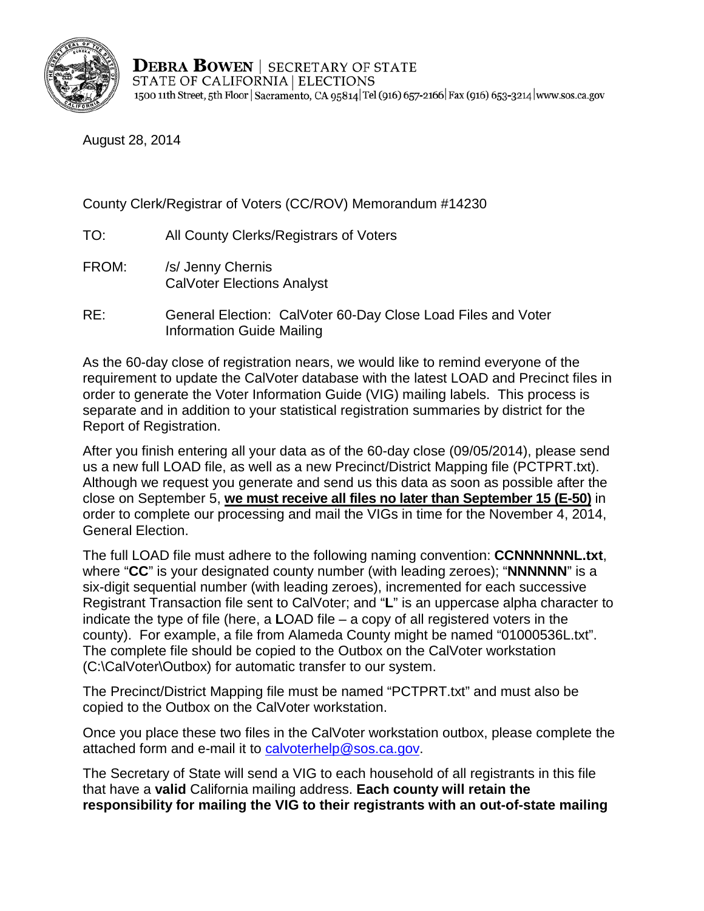

August 28, 2014

County Clerk/Registrar of Voters (CC/ROV) Memorandum #14230

- TO: All County Clerks/Registrars of Voters
- FROM: /s/ Jenny Chernis CalVoter Elections Analyst
- RE: General Election: CalVoter 60-Day Close Load Files and Voter Information Guide Mailing

As the 60-day close of registration nears, we would like to remind everyone of the requirement to update the CalVoter database with the latest LOAD and Precinct files in order to generate the Voter Information Guide (VIG) mailing labels. This process is separate and in addition to your statistical registration summaries by district for the Report of Registration.

After you finish entering all your data as of the 60-day close (09/05/2014), please send us a new full LOAD file, as well as a new Precinct/District Mapping file (PCTPRT.txt). Although we request you generate and send us this data as soon as possible after the close on September 5, **we must receive all files no later than September 15 (E-50)** in order to complete our processing and mail the VIGs in time for the November 4, 2014, General Election.

The full LOAD file must adhere to the following naming convention: **CCNNNNNNL.txt**, where "**CC**" is your designated county number (with leading zeroes); "**NNNNNN**" is a six-digit sequential number (with leading zeroes), incremented for each successive Registrant Transaction file sent to CalVoter; and "**L**" is an uppercase alpha character to indicate the type of file (here, a **L**OAD file – a copy of all registered voters in the county). For example, a file from Alameda County might be named "01000536L.txt". The complete file should be copied to the Outbox on the CalVoter workstation (C:\CalVoter\Outbox) for automatic transfer to our system.

The Precinct/District Mapping file must be named "PCTPRT.txt" and must also be copied to the Outbox on the CalVoter workstation.

Once you place these two files in the CalVoter workstation outbox, please complete the attached form and e-mail it to [calvoterhelp@sos.ca.gov.](mailto:CalVoterHelp@sos.ca.gov)

The Secretary of State will send a VIG to each household of all registrants in this file that have a **valid** California mailing address. **Each county will retain the responsibility for mailing the VIG to their registrants with an out-of-state mailing**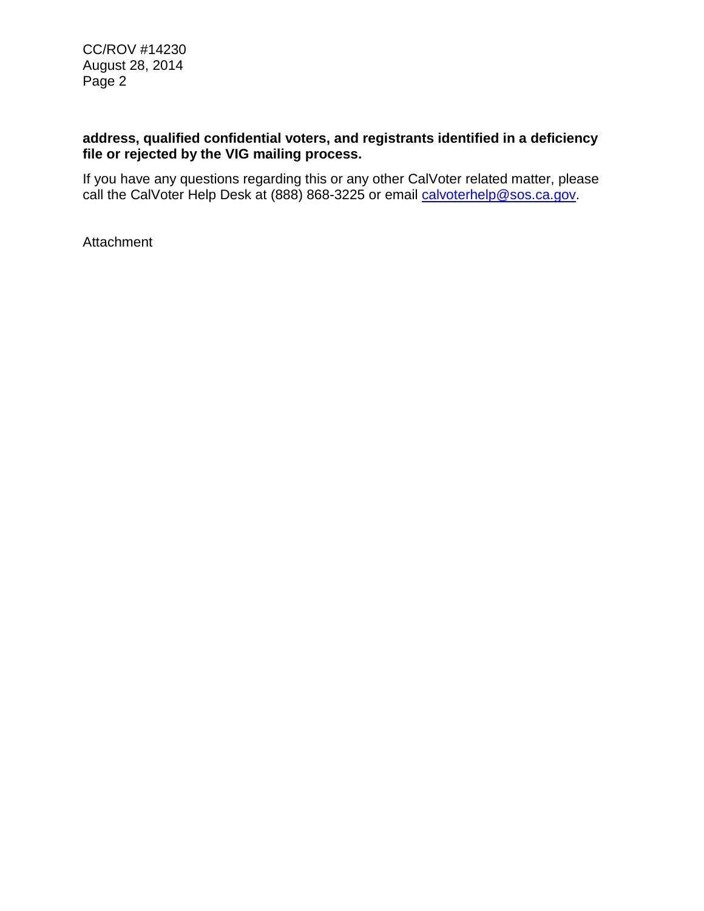CC/ROV #14230 August 28, 2014 Page 2

## **address, qualified confidential voters, and registrants identified in a deficiency file or rejected by the VIG mailing process.**

If you have any questions regarding this or any other CalVoter related matter, please call the CalVoter Help Desk at (888) 868-3225 or email [calvoterhelp@sos.ca.gov.](mailto:calvoterhelp@sos.ca.gov)

Attachment